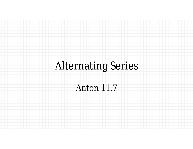# **Alternating Series**

**Anton 11.7**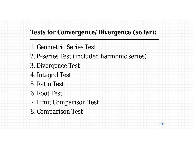# **Tests for Convergence/Divergence (so far):**

 $\rightarrow$ 

- 1. Geometric Series Test
- 2. P-series Test (included harmonic series)
- 3. Divergence Test
- 4. Integral Test
- 5. Ratio Test
- 6. Root Test
- 7. Limit Comparison Test
- 8. Comparison Test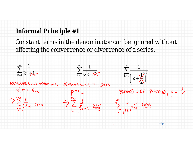### **Informal Principle #1**

Constant terms in the denominator can be ignored without affecting the convergence or divergence of a series.

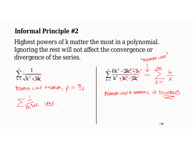#### **Informal Principle #2**

Highest powers of *k* matter the most in a polynomial. Ignoring the rest will not affect the convergence or divergence of the series. divergence of the series.

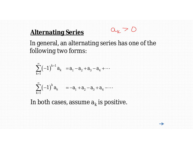# **Alternating Series**

In general, an alternating series has one of the following two forms:

 $a_k > 0$ 

 $\rightarrow$ 

$$
\sum_{k=1}^{\infty} (-1)^{k+1} a_k = a_1 - a_2 + a_3 - a_4 + \cdots
$$
  

$$
\sum_{k=1}^{\infty} (-1)^k a_k = -a_1 + a_2 - a_3 + a_4 - \cdots
$$

In both cases, assume  $a_k$  is positive.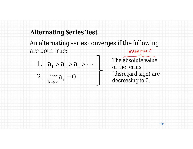# **Alternating Series Test**

An alternating series converges if the following are both true: MAGNITUDE

1. 
$$
a_1 > a_2 > a_3 > \cdots
$$

2.  $\lim_{k \to \infty} a_k = 0$ *k a*  $\rightarrow \infty$ Ħ

The absolute value of the terms (disregard sign) are decreasing to 0.

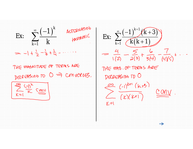

THE MAGNITUDE OF TERMS ARE DELERSINO TO => CONVERGES.

*k* 1  $\equiv$  $\begin{array}{c|c|c|c} \hline \text{ } & \text{ } & \text{ } & \text{ } \end{array}$  $(-1)^{r}$  $\sum_{k}$   $\frac{1}{k}$   $\frac{1}{k}$   $\frac{1}{k}$   $\frac{1}{k}$   $\frac{1}{k}$   $\frac{1}{k}$   $\frac{1}{k}$   $\frac{1}{k}$   $\frac{1}{k}$   $\frac{1}{k}$   $\frac{1}{k}$   $\frac{1}{k}$   $\frac{1}{k}$   $\frac{1}{k}$   $\frac{1}{k}$   $\frac{1}{k}$   $\frac{1}{k}$   $\frac{1}{k}$   $\frac{1}{k}$   $\frac{1}{k}$   $\frac{1}{k}$   $\frac$ Ex:  $\sum_{k=1}$  *k* 1  $= -1 + \frac{1}{7} - \frac{1}{3} + \frac{1}{4} - \cdots$ 

 $\sum_{k=1}^{\infty} \frac{(-1)^{k+1}(k+3)}{k(k+1)}$  $\frac{-1)^{k+1}(k+3)}{(k(k+1))}$ 1  $\frac{1}{\sqrt{2}}$  $(-1)$   $(k+3)$  $\sum_{i=1}^{n}$  $\frac{1}{\sqrt{2}}$  $(k+1)$ 1  $=\frac{4}{1(2)}-\frac{5}{2(3)}+\frac{6}{3(4)}-\frac{7}{14(1/5)}+...$ THE MAS. OF TERMS ARE DEREASING TO O  $\sum_{i=1}^{\infty}\frac{(-1)^{k+1}(k+3)}{(k)(k+1)}$  $Y=1$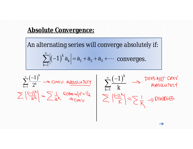#### **Absolute Convergence:**

An alternating series will converge *absolutely* if:

$$
\sum_{k=1}^{\infty} \left| (-1)^{k} a_{k} \right| = a_{1} + a_{2} + a_{3} + \cdots
$$
 converges.

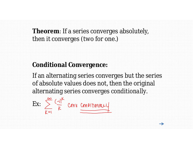**Theorem**: If a series converges absolutely, then it converges (two for one.)

# **Conditional Convergence:**

If an alternating series converges but the series of absolute values does not, then the original alternating series converges *conditionally*.

 $\rightarrow$ 

$$
Ex: \sum_{k=1}^{\infty} \frac{(-1)^k}{k} \text{ Conv } \underline{\underline{\text{Comynomial}}}
$$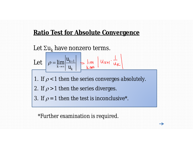# **Ratio Test for Absolute Convergence**

Let  $\Sigma u_k$  have nonzero terms. Let  $\rho = \lim_{k \to \infty} \left| \frac{u_{k+1}}{k} \right|$ 1. If  $\rho$  < 1 then the series converges *absolutely*. *k k u u*  $\rho$  $\overline{+}$  $\rightarrow \infty$  $=$ 2. If  $\rho$  > 1 then the series diverges. 3. If  $\rho = 1$  then the test is inconclusive<sup>\*</sup>.

 $\rightarrow$ 

\*Further examination is required.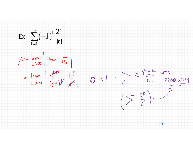$$
\begin{aligned}\n\text{Ex: } & \sum_{k=1}^{\infty} (-1)^k \frac{2^k}{k!} \\
& \rho = \lim_{k \to \infty} \left| \frac{u_{k+1}}{u_k} \frac{1}{u_k} \right| \\
& = \lim_{k \to \infty} \left| \frac{a^{k+1}}{(k+1)!} \frac{k!}{2^{k}} \right| = 0 < | \quad \sum_{k=1}^{\infty} \frac{(-1)^k 2^k}{k!} \frac{1}{\text{RBSUURLY}} \\
& \left( \sum_{k=1}^{\infty} \frac{a^k}{k!} \right) \frac{1}{\text{RBSUURLY}}\n\end{aligned}
$$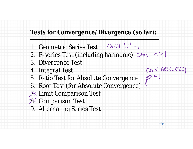# **Tests for Convergence/Divergence (so far):**

- 1. Geometric Series Test Cenull
- 2. P-series Test (including harmonic)  $CMV$   $p >$

COMV ABSOLUTEL

 $p$ 

- 3. Divergence Test
- 4. Integral Test
- 5. Ratio Test for Absolute Convergence
- 6. Root Test (for Absolute Convergence)
- **7. Limit Comparison Test**
- 8. Comparison Test
- 9. Alternating Series Test